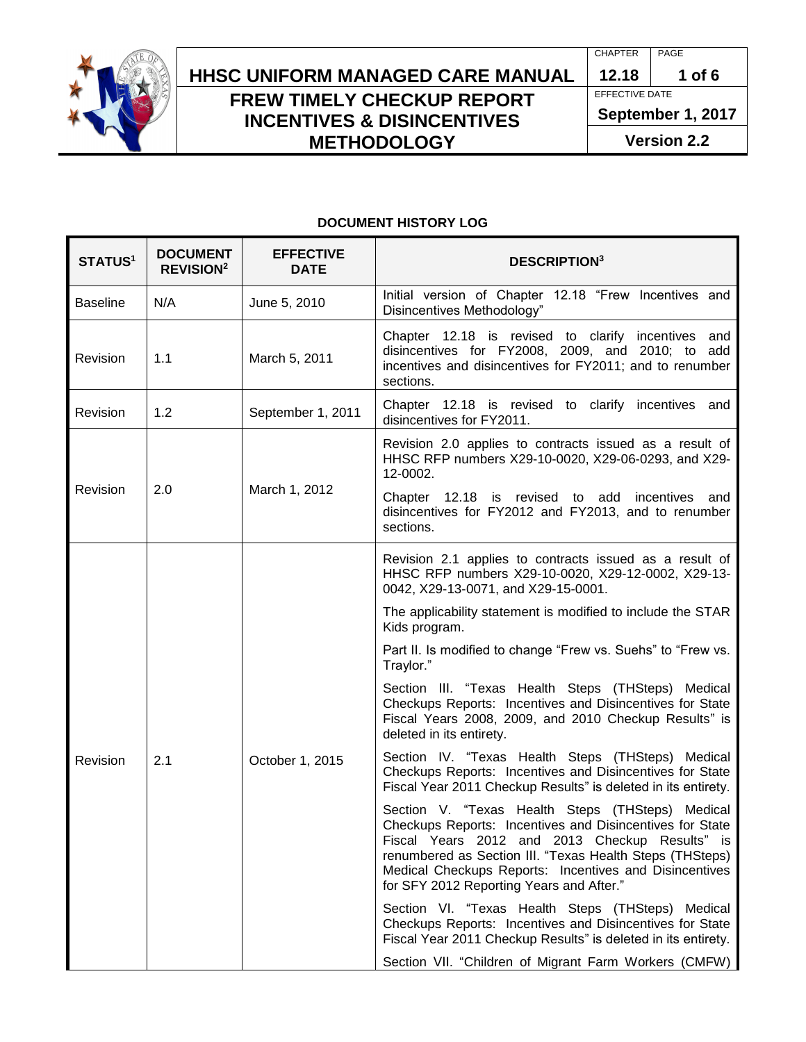

## **HHSC Uniform Managed Care MANUAL HHSC UNIFORM MANAGED CARE MANUAL 12.18 1 of 6 FREW TIMELY CHECKUP REPORT INCENTIVES & DISINCENTIVES METHODOLOGY**

CHAPTER | PAGE

EFFECTIVE DATE **September 1, 2017**

**Version 2.2**

#### **DOCUMENT HISTORY LOG**

| STATUS <sup>1</sup> | <b>DOCUMENT</b><br><b>REVISION<sup>2</sup></b> | <b>EFFECTIVE</b><br><b>DATE</b> | <b>DESCRIPTION3</b>                                                                                                                                                                                                                                                                                                              |
|---------------------|------------------------------------------------|---------------------------------|----------------------------------------------------------------------------------------------------------------------------------------------------------------------------------------------------------------------------------------------------------------------------------------------------------------------------------|
| <b>Baseline</b>     | N/A                                            | June 5, 2010                    | Initial version of Chapter 12.18 "Frew Incentives and<br>Disincentives Methodology"                                                                                                                                                                                                                                              |
| Revision            | 1.1                                            | March 5, 2011                   | Chapter 12.18 is revised to clarify incentives<br>and<br>disincentives for FY2008, 2009, and 2010; to add<br>incentives and disincentives for FY2011; and to renumber<br>sections.                                                                                                                                               |
| Revision            | 1.2                                            | September 1, 2011               | Chapter 12.18 is revised to clarify incentives and<br>disincentives for FY2011.                                                                                                                                                                                                                                                  |
| Revision            | 2.0                                            | March 1, 2012                   | Revision 2.0 applies to contracts issued as a result of<br>HHSC RFP numbers X29-10-0020, X29-06-0293, and X29-<br>12-0002.                                                                                                                                                                                                       |
|                     |                                                |                                 | Chapter 12.18 is revised to add incentives<br>and<br>disincentives for FY2012 and FY2013, and to renumber<br>sections.                                                                                                                                                                                                           |
| Revision            | 2.1                                            | October 1, 2015                 | Revision 2.1 applies to contracts issued as a result of<br>HHSC RFP numbers X29-10-0020, X29-12-0002, X29-13-<br>0042, X29-13-0071, and X29-15-0001.                                                                                                                                                                             |
|                     |                                                |                                 | The applicability statement is modified to include the STAR<br>Kids program.                                                                                                                                                                                                                                                     |
|                     |                                                |                                 | Part II. Is modified to change "Frew vs. Suehs" to "Frew vs.<br>Traylor."                                                                                                                                                                                                                                                        |
|                     |                                                |                                 | Section III. "Texas Health Steps (THSteps) Medical<br>Checkups Reports: Incentives and Disincentives for State<br>Fiscal Years 2008, 2009, and 2010 Checkup Results" is<br>deleted in its entirety.                                                                                                                              |
|                     |                                                |                                 | Section IV. "Texas Health Steps (THSteps) Medical<br>Checkups Reports: Incentives and Disincentives for State<br>Fiscal Year 2011 Checkup Results" is deleted in its entirety.                                                                                                                                                   |
|                     |                                                |                                 | Section V. "Texas Health Steps (THSteps) Medical<br>Checkups Reports: Incentives and Disincentives for State<br>Fiscal Years 2012 and 2013 Checkup Results" is<br>renumbered as Section III. "Texas Health Steps (THSteps)<br>Medical Checkups Reports: Incentives and Disincentives<br>for SFY 2012 Reporting Years and After." |
|                     |                                                |                                 | Section VI. "Texas Health Steps (THSteps) Medical<br>Checkups Reports: Incentives and Disincentives for State<br>Fiscal Year 2011 Checkup Results" is deleted in its entirety.                                                                                                                                                   |
|                     |                                                |                                 | Section VII. "Children of Migrant Farm Workers (CMFW)                                                                                                                                                                                                                                                                            |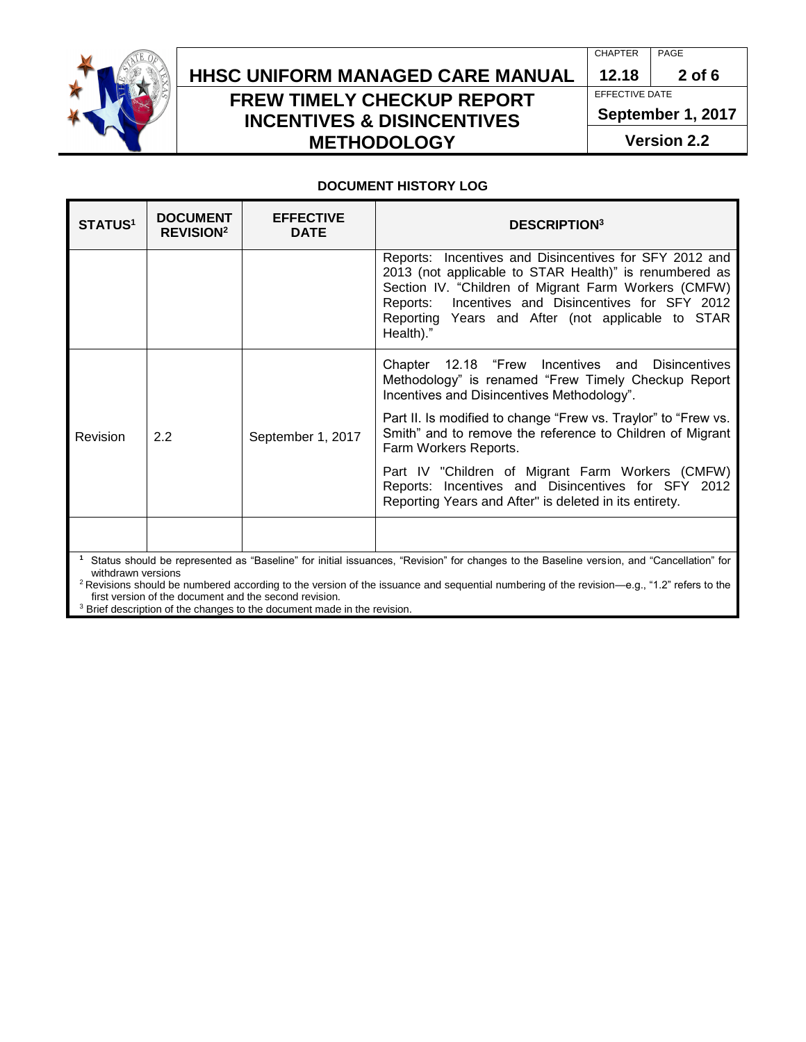

## **HHSC Uniform Managed Care MANUAL HHSC UNIFORM MANAGED CARE MANUAL 12.18 2 of 6 FREW TIMELY CHECKUP REPORT INCENTIVES & DISINCENTIVES METHODOLOGY**

CHAPTER | PAGE

EFFECTIVE DATE

**September 1, 2017**

**Version 2.2**

#### **DOCUMENT HISTORY LOG**

| <b>STATUS<sup>1</sup></b>                                                                                                                                      | <b>DOCUMENT</b><br><b>REVISION<sup>2</sup></b> | <b>EFFECTIVE</b><br><b>DATE</b> | <b>DESCRIPTION</b> <sup>3</sup>                                                                                                                                                                                                                                                                  |  |  |
|----------------------------------------------------------------------------------------------------------------------------------------------------------------|------------------------------------------------|---------------------------------|--------------------------------------------------------------------------------------------------------------------------------------------------------------------------------------------------------------------------------------------------------------------------------------------------|--|--|
|                                                                                                                                                                |                                                |                                 | Reports: Incentives and Disincentives for SFY 2012 and<br>2013 (not applicable to STAR Health)" is renumbered as<br>Section IV. "Children of Migrant Farm Workers (CMFW)<br>Reports: Incentives and Disincentives for SFY 2012<br>Reporting Years and After (not applicable to STAR<br>Health)." |  |  |
| Revision                                                                                                                                                       | 2.2                                            | September 1, 2017               | Chapter 12.18 "Frew Incentives and<br><b>Disincentives</b><br>Methodology" is renamed "Frew Timely Checkup Report<br>Incentives and Disincentives Methodology".                                                                                                                                  |  |  |
|                                                                                                                                                                |                                                |                                 | Part II. Is modified to change "Frew vs. Traylor" to "Frew vs.<br>Smith" and to remove the reference to Children of Migrant<br>Farm Workers Reports.                                                                                                                                             |  |  |
|                                                                                                                                                                |                                                |                                 | Part IV "Children of Migrant Farm Workers (CMFW)<br>Reports: Incentives and Disincentives for SFY 2012<br>Reporting Years and After" is deleted in its entirety.                                                                                                                                 |  |  |
|                                                                                                                                                                |                                                |                                 |                                                                                                                                                                                                                                                                                                  |  |  |
| Status should be represented as "Baseline" for initial issuances, "Revision" for changes to the Baseline version, and "Cancellation" for<br>withdrawn versions |                                                |                                 |                                                                                                                                                                                                                                                                                                  |  |  |

<sup>2</sup> Revisions should be numbered according to the version of the issuance and sequential numbering of the revision—e.g., "1.2" refers to the first version of the document and the second revision.

<sup>3</sup> Brief description of the changes to the document made in the revision.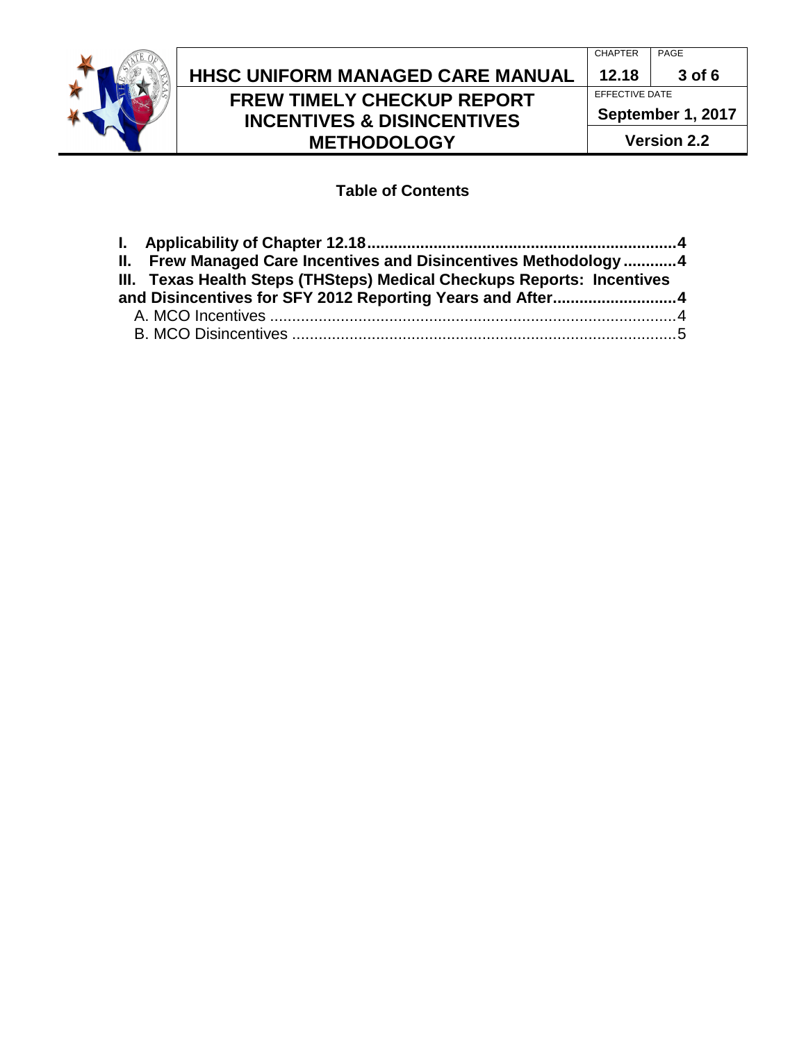

# **HHSC Uniform Managed Care MANUAL HHSC UNIFORM MANAGED CARE MANUAL 12.18 3 of 6 FREW TIMELY CHECKUP REPORT INCENTIVES & DISINCENTIVES METHODOLOGY**

CHAPTER | PAGE

EFFECTIVE DATE **September 1, 2017**

**Version 2.2**

### **Table of Contents**

| II. Frew Managed Care Incentives and Disincentives Methodology  4      |  |
|------------------------------------------------------------------------|--|
| III. Texas Health Steps (THSteps) Medical Checkups Reports: Incentives |  |
| and Disincentives for SFY 2012 Reporting Years and After4              |  |
|                                                                        |  |
|                                                                        |  |
|                                                                        |  |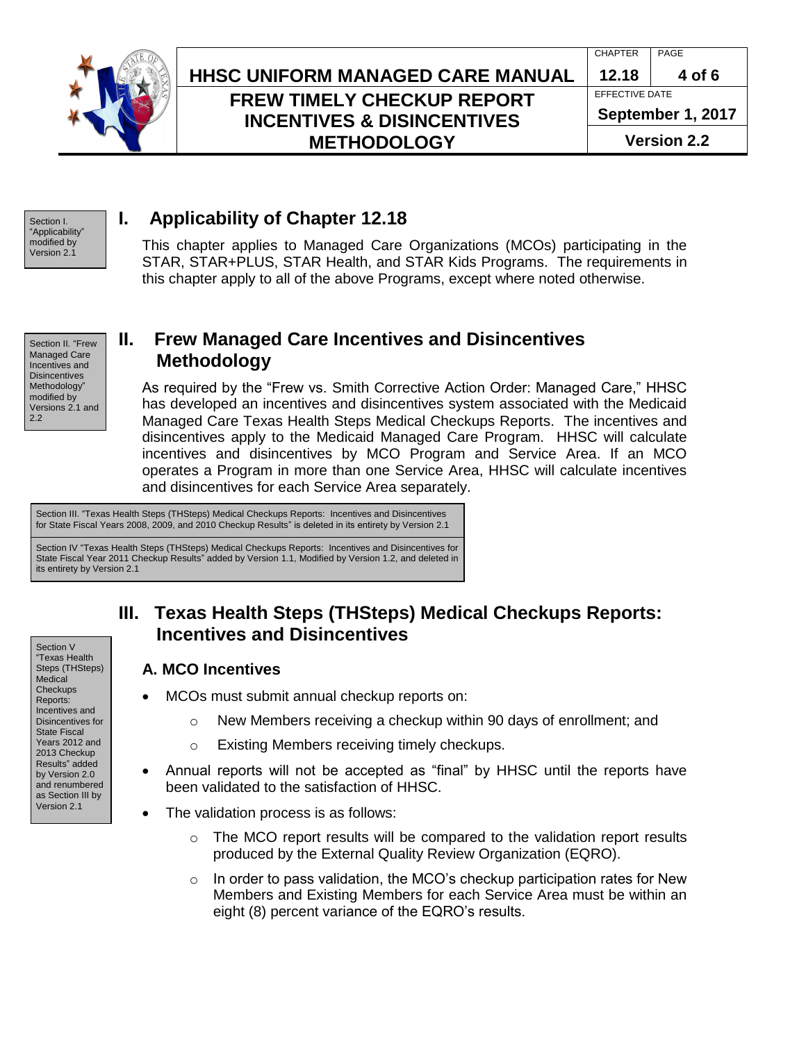

## **HHSC Uniform Managed Care MANUAL HHSC UNIFORM MANAGED CARE MANUAL 12.18 4 of 6 FREW TIMELY CHECKUP REPORT INCENTIVES & DISINCENTIVES METHODOLOGY**

CHAPTER | PAGE EFFECTIVE DATE **September 1, 2017**

**Version 2.2**

Section I. "Applicability" modified by Version 2.1

## <span id="page-3-0"></span>**I. Applicability of Chapter 12.18**

This chapter applies to Managed Care Organizations (MCOs) participating in the STAR, STAR+PLUS, STAR Health, and STAR Kids Programs. The requirements in this chapter apply to all of the above Programs, except where noted otherwise.

Section II. "Frew Managed Care Incentives and **Disincentives** Methodology" modified by Versions 2.1 and 2.2

## <span id="page-3-1"></span>**II. Frew Managed Care Incentives and Disincentives Methodology**

As required by the "Frew vs. Smith Corrective Action Order: Managed Care," HHSC has developed an incentives and disincentives system associated with the Medicaid Managed Care Texas Health Steps Medical Checkups Reports. The incentives and disincentives apply to the Medicaid Managed Care Program. HHSC will calculate incentives and disincentives by MCO Program and Service Area. If an MCO operates a Program in more than one Service Area, HHSC will calculate incentives and disincentives for each Service Area separately.

Section III. "Texas Health Steps (THSteps) Medical Checkups Reports: Incentives and Disincentives for State Fiscal Years 2008, 2009, and 2010 Checkup Results" is deleted in its entirety by Version 2.1

Section IV "Texas Health Steps (THSteps) Medical Checkups Reports: Incentives and Disincentives for State Fiscal Year 2011 Checkup Results" added by Version 1.1, Modified by Version 1.2, and deleted in its entirety by Version 2.1

## <span id="page-3-2"></span>**III. Texas Health Steps (THSteps) Medical Checkups Reports: Incentives and Disincentives**

- <span id="page-3-3"></span>**A. MCO Incentives**
- MCOs must submit annual checkup reports on:
	- $\circ$  New Members receiving a checkup within 90 days of enrollment; and
	- o Existing Members receiving timely checkups.
- Annual reports will not be accepted as "final" by HHSC until the reports have been validated to the satisfaction of HHSC.
- The validation process is as follows:
	- $\circ$  The MCO report results will be compared to the validation report results produced by the External Quality Review Organization (EQRO).
	- $\circ$  In order to pass validation, the MCO's checkup participation rates for New Members and Existing Members for each Service Area must be within an eight (8) percent variance of the EQRO's results.

"Texas Health Steps (THSteps) Medical **Checkups** Reports: Incentives and Disincentives for State Fiscal Years 2012 and 2013 Checkup Results" added by Version 2.0 and renumbered as Section III by Version 2.1

Section V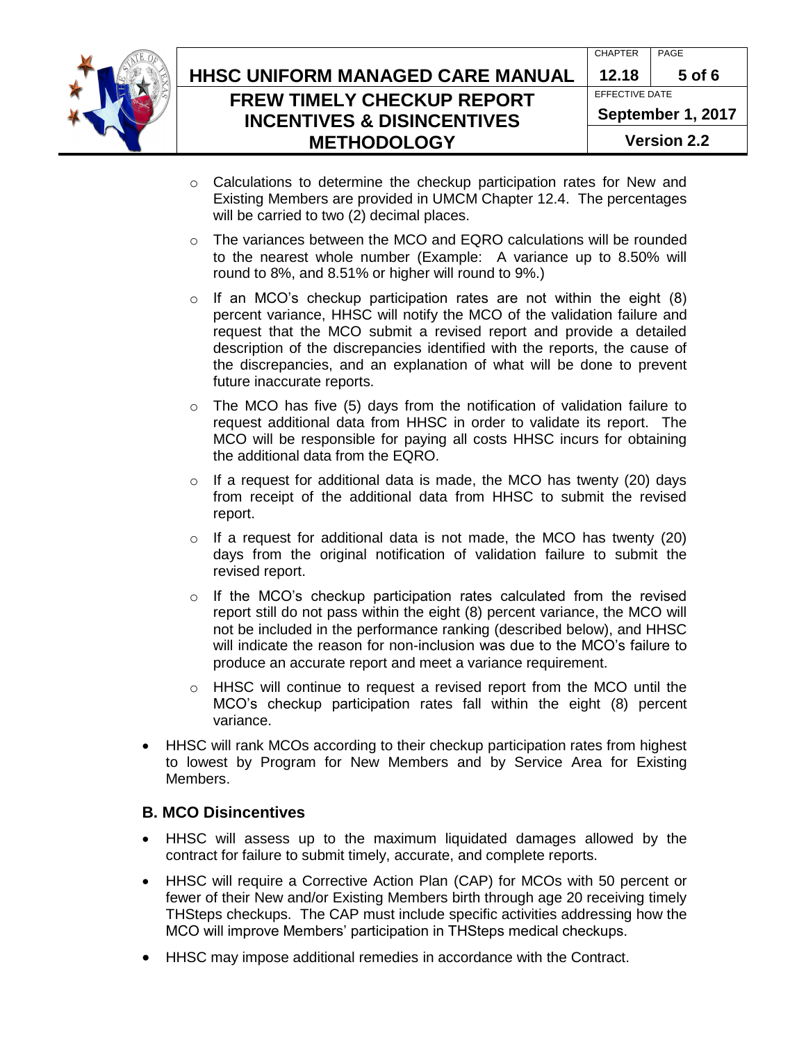

# **HHSC Uniform Managed Care MANUAL HHSC UNIFORM MANAGED CARE MANUAL 12.18 5 of 6 FREW TIMELY CHECKUP REPORT INCENTIVES & DISINCENTIVES METHODOLOGY**

CHAPTER PAGE EFFECTIVE DATE **September 1, 2017**

- **Version 2.2**
- $\circ$  Calculations to determine the checkup participation rates for New and Existing Members are provided in UMCM Chapter 12.4. The percentages will be carried to two (2) decimal places.
- $\circ$  The variances between the MCO and EQRO calculations will be rounded to the nearest whole number (Example: A variance up to 8.50% will round to 8%, and 8.51% or higher will round to 9%.)
- $\circ$  If an MCO's checkup participation rates are not within the eight (8) percent variance, HHSC will notify the MCO of the validation failure and request that the MCO submit a revised report and provide a detailed description of the discrepancies identified with the reports, the cause of the discrepancies, and an explanation of what will be done to prevent future inaccurate reports.
- $\circ$  The MCO has five (5) days from the notification of validation failure to request additional data from HHSC in order to validate its report. The MCO will be responsible for paying all costs HHSC incurs for obtaining the additional data from the EQRO.
- $\circ$  If a request for additional data is made, the MCO has twenty (20) days from receipt of the additional data from HHSC to submit the revised report.
- $\circ$  If a request for additional data is not made, the MCO has twenty (20) days from the original notification of validation failure to submit the revised report.
- $\circ$  If the MCO's checkup participation rates calculated from the revised report still do not pass within the eight (8) percent variance, the MCO will not be included in the performance ranking (described below), and HHSC will indicate the reason for non-inclusion was due to the MCO's failure to produce an accurate report and meet a variance requirement.
- $\circ$  HHSC will continue to request a revised report from the MCO until the MCO's checkup participation rates fall within the eight (8) percent variance.
- HHSC will rank MCOs according to their checkup participation rates from highest to lowest by Program for New Members and by Service Area for Existing Members.

#### <span id="page-4-0"></span>**B. MCO Disincentives**

- HHSC will assess up to the maximum liquidated damages allowed by the contract for failure to submit timely, accurate, and complete reports.
- HHSC will require a Corrective Action Plan (CAP) for MCOs with 50 percent or fewer of their New and/or Existing Members birth through age 20 receiving timely THSteps checkups. The CAP must include specific activities addressing how the MCO will improve Members' participation in THSteps medical checkups.
- HHSC may impose additional remedies in accordance with the Contract.